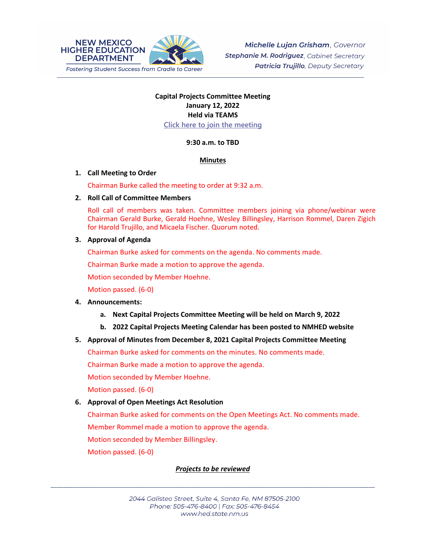

## **Capital Projects Committee Meeting January 12, 2022 Held via TEAMS [Click here to join the meeting](https://teams.microsoft.com/l/meetup-join/19%3ameeting_OWQ2YWRkMDUtNTU3Mi00NjUxLTk1OGItOGNlZDdhNjAzZThi%40thread.v2/0?context=%7b%22Tid%22%3a%2204aa6bf4-d436-426f-bfa4-04b7a70e60ff%22%2c%22Oid%22%3a%222844ecea-db84-4cd8-97b7-9d410f1aa07b%22%7d)**

## **9:30 a.m. to TBD**

#### **Minutes**

#### **1. Call Meeting to Order**

Chairman Burke called the meeting to order at 9:32 a.m.

#### **2. Roll Call of Committee Members**

Roll call of members was taken. Committee members joining via phone/webinar were Chairman Gerald Burke, Gerald Hoehne, Wesley Billingsley, Harrison Rommel, Daren Zigich for Harold Trujillo, and Micaela Fischer. Quorum noted.

## **3. Approval of Agenda**

Chairman Burke asked for comments on the agenda. No comments made.

Chairman Burke made a motion to approve the agenda.

Motion seconded by Member Hoehne.

Motion passed. (6-0)

## **4. Announcements:**

- **a. Next Capital Projects Committee Meeting will be held on March 9, 2022**
- **b. 2022 Capital Projects Meeting Calendar has been posted to NMHED website**

## **5. Approval of Minutes from December 8, 2021 Capital Projects Committee Meeting**

Chairman Burke asked for comments on the minutes. No comments made.

Chairman Burke made a motion to approve the agenda.

Motion seconded by Member Hoehne.

Motion passed. (6-0)

## **6. Approval of Open Meetings Act Resolution**

Chairman Burke asked for comments on the Open Meetings Act. No comments made.

Member Rommel made a motion to approve the agenda.

Motion seconded by Member Billingsley.

Motion passed. (6-0)

## *Projects to be reviewed*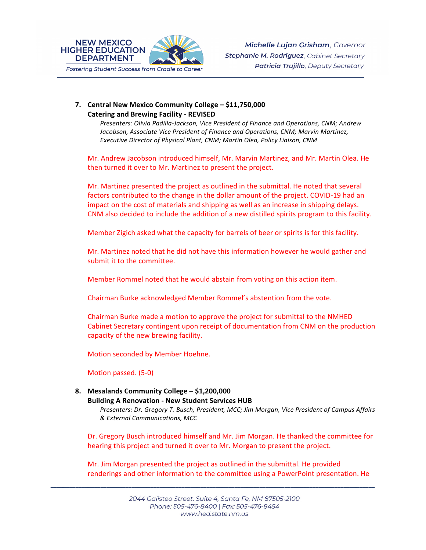

## **7. Central New Mexico Community College – \$11,750,000 Catering and Brewing Facility - REVISED**

*Presenters: Olivia Padilla-Jackson, Vice President of Finance and Operations, CNM; Andrew Jacobson, Associate Vice President of Finance and Operations, CNM; Marvin Martinez, Executive Director of Physical Plant, CNM; Martin Olea, Policy Liaison, CNM*

Mr. Andrew Jacobson introduced himself, Mr. Marvin Martinez, and Mr. Martin Olea. He then turned it over to Mr. Martinez to present the project.

Mr. Martinez presented the project as outlined in the submittal. He noted that several factors contributed to the change in the dollar amount of the project. COVID-19 had an impact on the cost of materials and shipping as well as an increase in shipping delays. CNM also decided to include the addition of a new distilled spirits program to this facility.

Member Zigich asked what the capacity for barrels of beer or spirits is for this facility.

Mr. Martinez noted that he did not have this information however he would gather and submit it to the committee.

Member Rommel noted that he would abstain from voting on this action item.

Chairman Burke acknowledged Member Rommel's abstention from the vote.

Chairman Burke made a motion to approve the project for submittal to the NMHED Cabinet Secretary contingent upon receipt of documentation from CNM on the production capacity of the new brewing facility.

Motion seconded by Member Hoehne.

Motion passed. (5-0)

# **8. Mesalands Community College – \$1,200,000**

**Building A Renovation - New Student Services HUB**

*Presenters: Dr. Gregory T. Busch, President, MCC; Jim Morgan, Vice President of Campus Affairs & External Communications, MCC*

Dr. Gregory Busch introduced himself and Mr. Jim Morgan. He thanked the committee for hearing this project and turned it over to Mr. Morgan to present the project.

Mr. Jim Morgan presented the project as outlined in the submittal. He provided renderings and other information to the committee using a PowerPoint presentation. He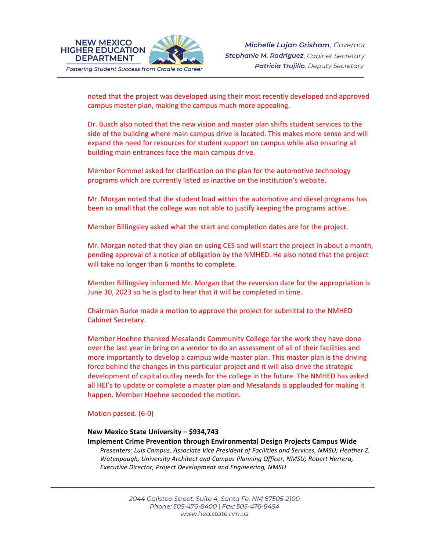

noted that the project was developed using their most recently developed and approved campus master plan, making the campus much more appealing.

Dr. Busch also noted that the new vision and master plan shifts student services to the side of the building where main campus drive is located. This makes more sense and will expand the need for resources for student support on campus while also ensuring all building main entrances face the main campus drive.

Member Rommel asked for clarification on the plan for the automotive technology programs which are currently listed as inactive on the institution's website.

Mr. Morgan noted that the student load within the automotive and diesel programs has been so small that the college was not able to justify keeping the programs active.

Member Billingsley asked what the start and completion dates are for the project.

Mr. Morgan noted that they plan on using CES and will start the project in about a month, pending approval of a notice of obligation by the NMHED. He also noted that the project will take no longer than 6 months to complete.

Member Billingsley informed Mr. Morgan that the reversion date for the appropriation is June 30, 2023 so he is glad to hear that it will be completed in time.

Chairman Burke made a motion to approve the project for submittal to the NMHED Cabinet Secretary.

Member Hoehne thanked Mesalands Community College for the work they have done over the last year in bring on a vendor to do an assessment of all of their facilities and more importantly to develop a campus wide master plan. This master plan is the driving force behind the changes in this particular project and it will also drive the strategic development of capital outlay needs for the college in the future. The NMHED has asked all HEI's to update or complete a master plan and Mesalands is applauded for making it happen. Member Hoehne seconded the motion.

#### Motion passed. (6-0)

## **New Mexico State University – \$934,743**

**Implement Crime Prevention through Environmental Design Projects Campus Wide** 

*Presenters: Luis Campus, Associate Vice President of Facilities and Services, NMSU; Heather Z. Watenpaugh, University Architect and Campus Planning Officer, NMSU; Robert Herrera, Executive Director, Project Development and Engineering, NMSU*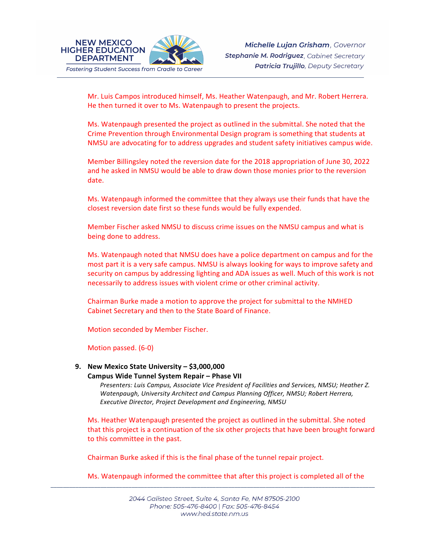

Mr. Luis Campos introduced himself, Ms. Heather Watenpaugh, and Mr. Robert Herrera. He then turned it over to Ms. Watenpaugh to present the projects.

Ms. Watenpaugh presented the project as outlined in the submittal. She noted that the Crime Prevention through Environmental Design program is something that students at NMSU are advocating for to address upgrades and student safety initiatives campus wide.

Member Billingsley noted the reversion date for the 2018 appropriation of June 30, 2022 and he asked in NMSU would be able to draw down those monies prior to the reversion date.

Ms. Watenpaugh informed the committee that they always use their funds that have the closest reversion date first so these funds would be fully expended.

Member Fischer asked NMSU to discuss crime issues on the NMSU campus and what is being done to address.

Ms. Watenpaugh noted that NMSU does have a police department on campus and for the most part it is a very safe campus. NMSU is always looking for ways to improve safety and security on campus by addressing lighting and ADA issues as well. Much of this work is not necessarily to address issues with violent crime or other criminal activity.

Chairman Burke made a motion to approve the project for submittal to the NMHED Cabinet Secretary and then to the State Board of Finance.

Motion seconded by Member Fischer.

Motion passed. (6-0)

## **9. New Mexico State University – \$3,000,000**

#### **Campus Wide Tunnel System Repair – Phase VII**

*Presenters: Luis Campus, Associate Vice President of Facilities and Services, NMSU; Heather Z. Watenpaugh, University Architect and Campus Planning Officer, NMSU; Robert Herrera, Executive Director, Project Development and Engineering, NMSU*

Ms. Heather Watenpaugh presented the project as outlined in the submittal. She noted that this project is a continuation of the six other projects that have been brought forward to this committee in the past.

Chairman Burke asked if this is the final phase of the tunnel repair project.

Ms. Watenpaugh informed the committee that after this project is completed all of the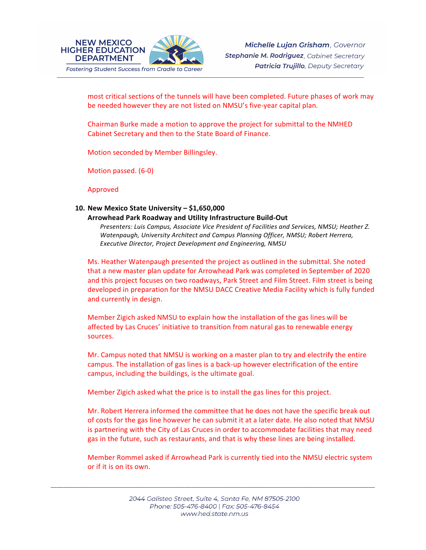

most critical sections of the tunnels will have been completed. Future phases of work may be needed however they are not listed on NMSU's five-year capital plan.

Chairman Burke made a motion to approve the project for submittal to the NMHED Cabinet Secretary and then to the State Board of Finance.

Motion seconded by Member Billingsley.

Motion passed. (6-0)

Approved

# **10. New Mexico State University – \$1,650,000**

#### **Arrowhead Park Roadway and Utility Infrastructure Build-Out**

*Presenters: Luis Campus, Associate Vice President of Facilities and Services, NMSU; Heather Z. Watenpaugh, University Architect and Campus Planning Officer, NMSU; Robert Herrera, Executive Director, Project Development and Engineering, NMSU*

Ms. Heather Watenpaugh presented the project as outlined in the submittal. She noted that a new master plan update for Arrowhead Park was completed in September of 2020 and this project focuses on two roadways, Park Street and Film Street. Film street is being developed in preparation for the NMSU DACC Creative Media Facility which is fully funded and currently in design.

Member Zigich asked NMSU to explain how the installation of the gas lines will be affected by Las Cruces' initiative to transition from natural gas to renewable energy sources.

Mr. Campus noted that NMSU is working on a master plan to try and electrify the entire campus. The installation of gas lines is a back-up however electrification of the entire campus, including the buildings, is the ultimate goal.

Member Zigich asked what the price is to install the gas lines for this project.

Mr. Robert Herrera informed the committee that he does not have the specific break out of costs for the gas line however he can submit it at a later date. He also noted that NMSU is partnering with the City of Las Cruces in order to accommodate facilities that may need gas in the future, such as restaurants, and that is why these lines are being installed.

Member Rommel asked if Arrowhead Park is currently tied into the NMSU electric system or if it is on its own.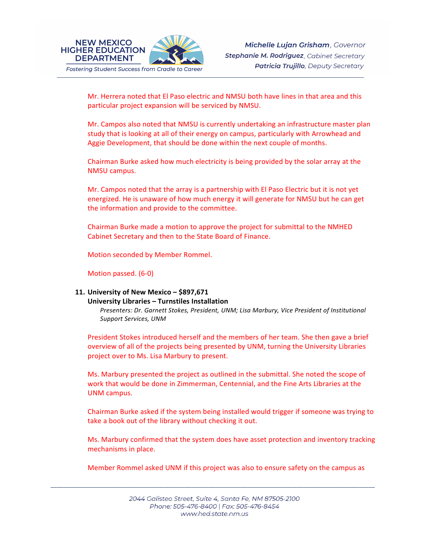

Mr. Herrera noted that El Paso electric and NMSU both have lines in that area and this particular project expansion will be serviced by NMSU.

Mr. Campos also noted that NMSU is currently undertaking an infrastructure master plan study that is looking at all of their energy on campus, particularly with Arrowhead and Aggie Development, that should be done within the next couple of months.

Chairman Burke asked how much electricity is being provided by the solar array at the NMSU campus.

Mr. Campos noted that the array is a partnership with El Paso Electric but it is not yet energized. He is unaware of how much energy it will generate for NMSU but he can get the information and provide to the committee.

Chairman Burke made a motion to approve the project for submittal to the NMHED Cabinet Secretary and then to the State Board of Finance.

Motion seconded by Member Rommel.

Motion passed. (6-0)

# **11. University of New Mexico – \$897,671**

#### **University Libraries – Turnstiles Installation**

*Presenters: Dr. Garnett Stokes, President, UNM; Lisa Marbury, Vice President of Institutional Support Services, UNM*

President Stokes introduced herself and the members of her team. She then gave a brief overview of all of the projects being presented by UNM, turning the University Libraries project over to Ms. Lisa Marbury to present.

Ms. Marbury presented the project as outlined in the submittal. She noted the scope of work that would be done in Zimmerman, Centennial, and the Fine Arts Libraries at the UNM campus.

Chairman Burke asked if the system being installed would trigger if someone was trying to take a book out of the library without checking it out.

Ms. Marbury confirmed that the system does have asset protection and inventory tracking mechanisms in place.

Member Rommel asked UNM if this project was also to ensure safety on the campus as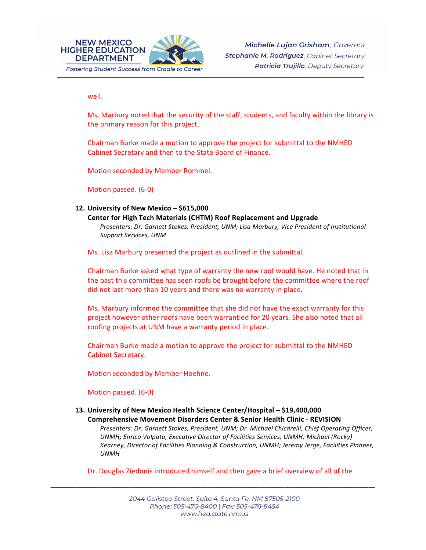

well.

Ms. Marbury noted that the security of the staff, students, and faculty within the library is the primary reason for this project.

Chairman Burke made a motion to approve the project for submittal to the NMHED Cabinet Secretary and then to the State Board of Finance.

Motion seconded by Member Rommel.

Motion passed. (6-0)

#### **12. University of New Mexico – \$615,000**

**Center for High Tech Materials (CHTM) Roof Replacement and Upgrade**  *Presenters: Dr. Garnett Stokes, President, UNM; Lisa Marbury, Vice President of Institutional Support Services, UNM* 

Ms. Lisa Marbury presented the project as outlined in the submittal.

Chairman Burke asked what type of warranty the new roof would have. He noted that in the past this committee has seen roofs be brought before the committee where the roof did not last more than 10 years and there was no warranty in place.

Ms. Marbury informed the committee that she did not have the exact warranty for this project however other roofs have been warrantied for 20 years. She also noted that all roofing projects at UNM have a warranty period in place.

Chairman Burke made a motion to approve the project for submittal to the NMHED Cabinet Secretary.

Motion seconded by Member Hoehne.

Motion passed. (6-0)

**13. University of New Mexico Health Science Center/Hospital – \$19,400,000 Comprehensive Movement Disorders Center & Senior Health Clinic - REVISION**

*Presenters: Dr. Garnett Stokes, President, UNM; Dr. Michael Chicarelli, Chief Operating Officer, UNMH; Enrico Volpato, Executive Director of Facilities Services, UNMH; Michael (Rocky) Kearney, Director of Facilities Planning & Construction, UNMH; Jeremy Jerge, Facilities Planner, UNMH*

Dr. Douglas Ziedonis introduced himself and then gave a brief overview of all of the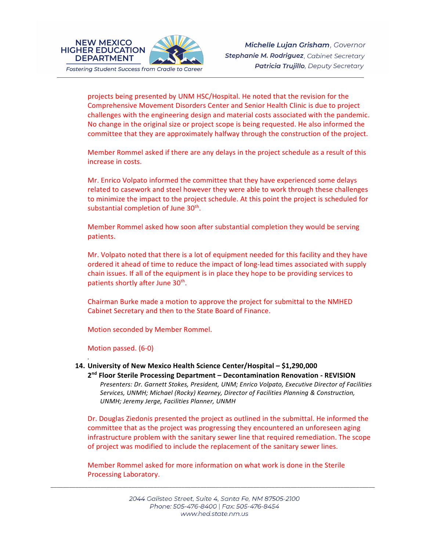

**NEW MEXICO** 

**DEPARTMENT** 

projects being presented by UNM HSC/Hospital. He noted that the revision for the Comprehensive Movement Disorders Center and Senior Health Clinic is due to project challenges with the engineering design and material costs associated with the pandemic. No change in the original size or project scope is being requested. He also informed the committee that they are approximately halfway through the construction of the project.

Member Rommel asked if there are any delays in the project schedule as a result of this increase in costs.

Mr. Enrico Volpato informed the committee that they have experienced some delays related to casework and steel however they were able to work through these challenges to minimize the impact to the project schedule. At this point the project is scheduled for substantial completion of June 30<sup>th</sup>.

Member Rommel asked how soon after substantial completion they would be serving patients.

Mr. Volpato noted that there is a lot of equipment needed for this facility and they have ordered it ahead of time to reduce the impact of long-lead times associated with supply chain issues. If all of the equipment is in place they hope to be providing services to patients shortly after June 30<sup>th</sup>.

Chairman Burke made a motion to approve the project for submittal to the NMHED Cabinet Secretary and then to the State Board of Finance.

Motion seconded by Member Rommel.

Motion passed. (6-0)

*.*

## **14. University of New Mexico Health Science Center/Hospital – \$1,290,000**

**2nd Floor Sterile Processing Department – Decontamination Renovation - REVISION**  *Presenters: Dr. Garnett Stokes, President, UNM; Enrico Volpato, Executive Director of Facilities Services, UNMH; Michael (Rocky) Kearney, Director of Facilities Planning & Construction, UNMH; Jeremy Jerge, Facilities Planner, UNMH*

Dr. Douglas Ziedonis presented the project as outlined in the submittal. He informed the committee that as the project was progressing they encountered an unforeseen aging infrastructure problem with the sanitary sewer line that required remediation. The scope of project was modified to include the replacement of the sanitary sewer lines.

Member Rommel asked for more information on what work is done in the Sterile Processing Laboratory.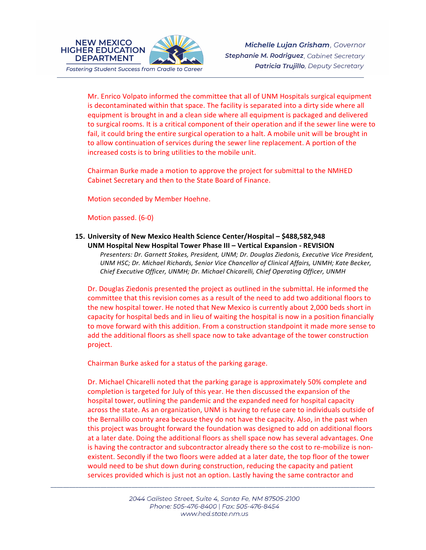

Michelle Lujan Grisham, Governor Stephanie M. Rodriguez, Cabinet Secretary **Patricia Trujillo**, Deputy Secretary

Mr. Enrico Volpato informed the committee that all of UNM Hospitals surgical equipment is decontaminated within that space. The facility is separated into a dirty side where all equipment is brought in and a clean side where all equipment is packaged and delivered to surgical rooms. It is a critical component of their operation and if the sewer line were to fail, it could bring the entire surgical operation to a halt. A mobile unit will be brought in to allow continuation of services during the sewer line replacement. A portion of the increased costs is to bring utilities to the mobile unit.

Chairman Burke made a motion to approve the project for submittal to the NMHED Cabinet Secretary and then to the State Board of Finance.

Motion seconded by Member Hoehne.

Motion passed. (6-0)

**NEW MEXICO** 

**DEPARTMENT** 

**15. University of New Mexico Health Science Center/Hospital – \$488,582,948 UNM Hospital New Hospital Tower Phase III – Vertical Expansion - REVISION** 

*Presenters: Dr. Garnett Stokes, President, UNM; Dr. Douglas Ziedonis, Executive Vice President, UNM HSC; Dr. Michael Richards, Senior Vice Chancellor of Clinical Affairs, UNMH; Kate Becker, Chief Executive Officer, UNMH; Dr. Michael Chicarelli, Chief Operating Officer, UNMH*

Dr. Douglas Ziedonis presented the project as outlined in the submittal. He informed the committee that this revision comes as a result of the need to add two additional floors to the new hospital tower. He noted that New Mexico is currently about 2,000 beds short in capacity for hospital beds and in lieu of waiting the hospital is now in a position financially to move forward with this addition. From a construction standpoint it made more sense to add the additional floors as shell space now to take advantage of the tower construction project.

Chairman Burke asked for a status of the parking garage.

Dr. Michael Chicarelli noted that the parking garage is approximately 50% complete and completion is targeted for July of this year. He then discussed the expansion of the hospital tower, outlining the pandemic and the expanded need for hospital capacity across the state. As an organization, UNM is having to refuse care to individuals outside of the Bernalillo county area because they do not have the capacity. Also, in the past when this project was brought forward the foundation was designed to add on additional floors at a later date. Doing the additional floors as shell space now has several advantages. One is having the contractor and subcontractor already there so the cost to re-mobilize is nonexistent. Secondly if the two floors were added at a later date, the top floor of the tower would need to be shut down during construction, reducing the capacity and patient services provided which is just not an option. Lastly having the same contractor and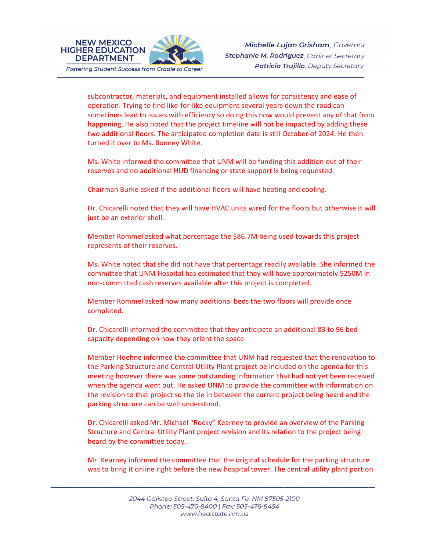

**NEW MEXICO** 

**DEPARTMENT** 

subcontractor, materials, and equipment installed allows for consistency and ease of operation. Trying to find like-for-like equipment several years down the road can sometimes lead to issues with efficiency so doing this now would prevent any of that from happening. He also noted that the project timeline will not be impacted by adding these two additional floors. The anticipated completion date is still October of 2024. He then turned it over to Ms. Bonney White.

Ms. White informed the committee that UNM will be funding this addition out of their reserves and no additional HUD financing or state support is being requested.

Chairman Burke asked if the additional floors will have heating and cooling.

Dr. Chicarelli noted that they will have HVAC units wired for the floors but otherwise it will just be an exterior shell.

Member Rommel asked what percentage the \$86.7M being used towards this project represents of their reserves.

Ms. White noted that she did not have that percentage readily available. She informed the committee that UNM Hospital has estimated that they will have approximately \$250M in non-committed cash reserves available after this project is completed.

Member Rommel asked how many additional beds the two floors will provide once completed.

Dr. Chicarelli informed the committee that they anticipate an additional 83 to 96 bed capacity depending on how they orient the space.

Member Hoehne informed the committee that UNM had requested that the renovation to the Parking Structure and Central Utility Plant project be included on the agenda for this meeting however there was some outstanding information that had not yet been received when the agenda went out. He asked UNM to provide the committee with information on the revision to that project so the tie in between the current project being heard and the parking structure can be well understood.

Dr. Chicarelli asked Mr. Michael "Rocky" Kearney to provide an overview of the Parking Structure and Central Utility Plant project revision and its relation to the project being heard by the committee today.

Mr. Kearney informed the committee that the original schedule for the parking structure was to bring it online right before the new hospital tower. The central utility plant portion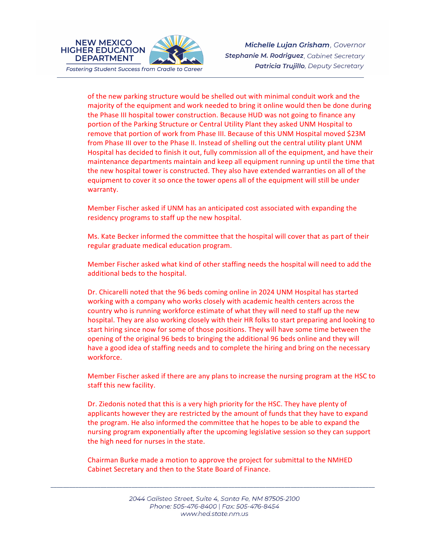

**NEW MEXICO** 

**DEPARTMENT** 

Michelle Lujan Grisham, Governor Stephanie M. Rodriguez, Cabinet Secretary **Patricia Trujillo**, Deputy Secretary

of the new parking structure would be shelled out with minimal conduit work and the majority of the equipment and work needed to bring it online would then be done during the Phase III hospital tower construction. Because HUD was not going to finance any portion of the Parking Structure or Central Utility Plant they asked UNM Hospital to remove that portion of work from Phase III. Because of this UNM Hospital moved \$23M from Phase III over to the Phase II. Instead of shelling out the central utility plant UNM Hospital has decided to finish it out, fully commission all of the equipment, and have their maintenance departments maintain and keep all equipment running up until the time that the new hospital tower is constructed. They also have extended warranties on all of the equipment to cover it so once the tower opens all of the equipment will still be under warranty.

Member Fischer asked if UNM has an anticipated cost associated with expanding the residency programs to staff up the new hospital.

Ms. Kate Becker informed the committee that the hospital will cover that as part of their regular graduate medical education program.

Member Fischer asked what kind of other staffing needs the hospital will need to add the additional beds to the hospital.

Dr. Chicarelli noted that the 96 beds coming online in 2024 UNM Hospital has started working with a company who works closely with academic health centers across the country who is running workforce estimate of what they will need to staff up the new hospital. They are also working closely with their HR folks to start preparing and looking to start hiring since now for some of those positions. They will have some time between the opening of the original 96 beds to bringing the additional 96 beds online and they will have a good idea of staffing needs and to complete the hiring and bring on the necessary workforce.

Member Fischer asked if there are any plans to increase the nursing program at the HSC to staff this new facility.

Dr. Ziedonis noted that this is a very high priority for the HSC. They have plenty of applicants however they are restricted by the amount of funds that they have to expand the program. He also informed the committee that he hopes to be able to expand the nursing program exponentially after the upcoming legislative session so they can support the high need for nurses in the state.

Chairman Burke made a motion to approve the project for submittal to the NMHED Cabinet Secretary and then to the State Board of Finance.